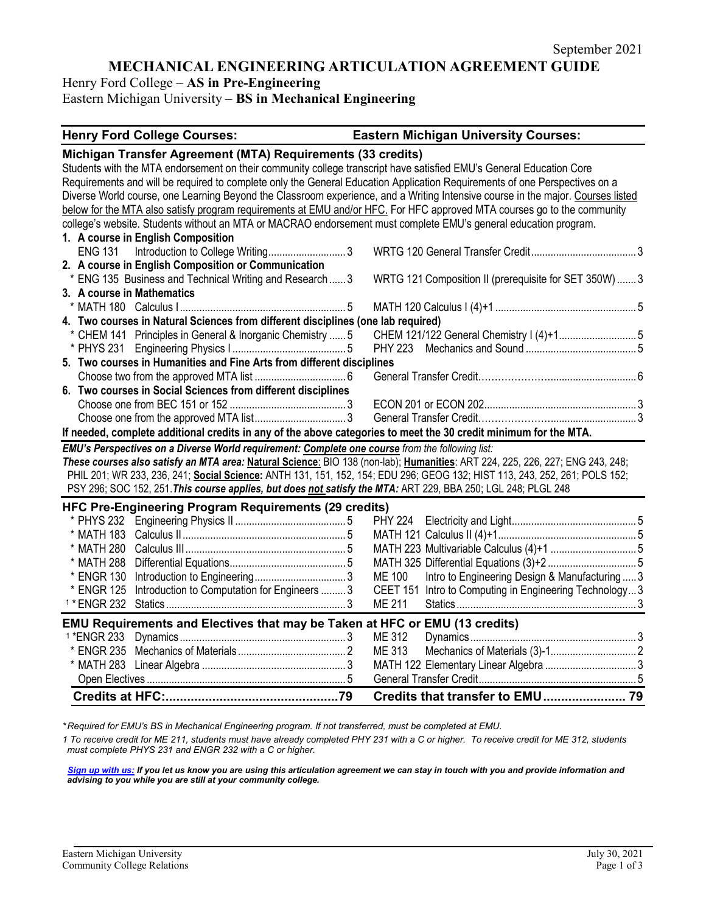# **MECHANICAL ENGINEERING ARTICULATION AGREEMENT GUIDE**

Henry Ford College – **AS in Pre-Engineering**

Eastern Michigan University – **BS in Mechanical Engineering**

#### **Henry Ford College Courses: Eastern Michigan University Courses:**

| Michigan Transfer Agreement (MTA) Requirements (33 credits)                                                                     |                                                                 |  |  |
|---------------------------------------------------------------------------------------------------------------------------------|-----------------------------------------------------------------|--|--|
| Students with the MTA endorsement on their community college transcript have satisfied EMU's General Education Core             |                                                                 |  |  |
| Requirements and will be required to complete only the General Education Application Requirements of one Perspectives on a      |                                                                 |  |  |
| Diverse World course, one Learning Beyond the Classroom experience, and a Writing Intensive course in the major. Courses listed |                                                                 |  |  |
| below for the MTA also satisfy program requirements at EMU and/or HFC. For HFC approved MTA courses go to the community         |                                                                 |  |  |
| college's website. Students without an MTA or MACRAO endorsement must complete EMU's general education program.                 |                                                                 |  |  |
| 1. A course in English Composition                                                                                              |                                                                 |  |  |
| <b>ENG 131</b>                                                                                                                  |                                                                 |  |  |
| 2. A course in English Composition or Communication                                                                             |                                                                 |  |  |
| * ENG 135 Business and Technical Writing and Research 3                                                                         | WRTG 121 Composition II (prerequisite for SET 350W)  3          |  |  |
| 3. A course in Mathematics                                                                                                      |                                                                 |  |  |
|                                                                                                                                 |                                                                 |  |  |
| 4. Two courses in Natural Sciences from different disciplines (one lab required)                                                |                                                                 |  |  |
| * CHEM 141 Principles in General & Inorganic Chemistry  5                                                                       |                                                                 |  |  |
|                                                                                                                                 |                                                                 |  |  |
| 5. Two courses in Humanities and Fine Arts from different disciplines                                                           |                                                                 |  |  |
|                                                                                                                                 |                                                                 |  |  |
| 6. Two courses in Social Sciences from different disciplines                                                                    |                                                                 |  |  |
|                                                                                                                                 |                                                                 |  |  |
|                                                                                                                                 |                                                                 |  |  |
| If needed, complete additional credits in any of the above categories to meet the 30 credit minimum for the MTA.                |                                                                 |  |  |
| EMU's Perspectives on a Diverse World requirement: Complete one course from the following list:                                 |                                                                 |  |  |
| These courses also satisfy an MTA area: Natural Science: BIO 138 (non-lab); Humanities: ART 224, 225, 226, 227; ENG 243, 248;   |                                                                 |  |  |
| PHIL 201; WR 233, 236, 241; Social Science: ANTH 131, 151, 152, 154; EDU 296; GEOG 132; HIST 113, 243, 252, 261; POLS 152;      |                                                                 |  |  |
| PSY 296; SOC 152, 251. This course applies, but does not satisfy the MTA: ART 229, BBA 250; LGL 248; PLGL 248                   |                                                                 |  |  |
| HFC Pre-Engineering Program Requirements (29 credits)                                                                           |                                                                 |  |  |
|                                                                                                                                 |                                                                 |  |  |
|                                                                                                                                 |                                                                 |  |  |
| * MATH 280                                                                                                                      |                                                                 |  |  |
| * MATH 288                                                                                                                      |                                                                 |  |  |
| * ENGR 130                                                                                                                      | Intro to Engineering Design & Manufacturing  3<br><b>ME 100</b> |  |  |
| Introduction to Computation for Engineers  3<br>* ENGR 125                                                                      | CEET 151 Intro to Computing in Engineering Technology3          |  |  |
|                                                                                                                                 | <b>ME 211</b>                                                   |  |  |
| EMU Requirements and Electives that may be Taken at HFC or EMU (13 credits)                                                     |                                                                 |  |  |
| <sup>1</sup> *ENGR 233                                                                                                          | ME 312                                                          |  |  |
|                                                                                                                                 | ME 313                                                          |  |  |
|                                                                                                                                 |                                                                 |  |  |
|                                                                                                                                 |                                                                 |  |  |
|                                                                                                                                 | Credits that transfer to EMU 79                                 |  |  |

*\* Required for EMU's BS in Mechanical Engineering program. If not transferred, must be completed at EMU.* 

*1 To receive credit for ME 211, students must have already completed PHY 231 with a C or higher. To receive credit for ME 312, students must complete PHYS 231 and ENGR 232 with a C or higher.*

*[Sign up with us:](https://www.emich.edu/ccr/articulation-agreements/signup.php) If you let us know you are using this articulation agreement we can stay in touch with you and provide information and advising to you while you are still at your community college.*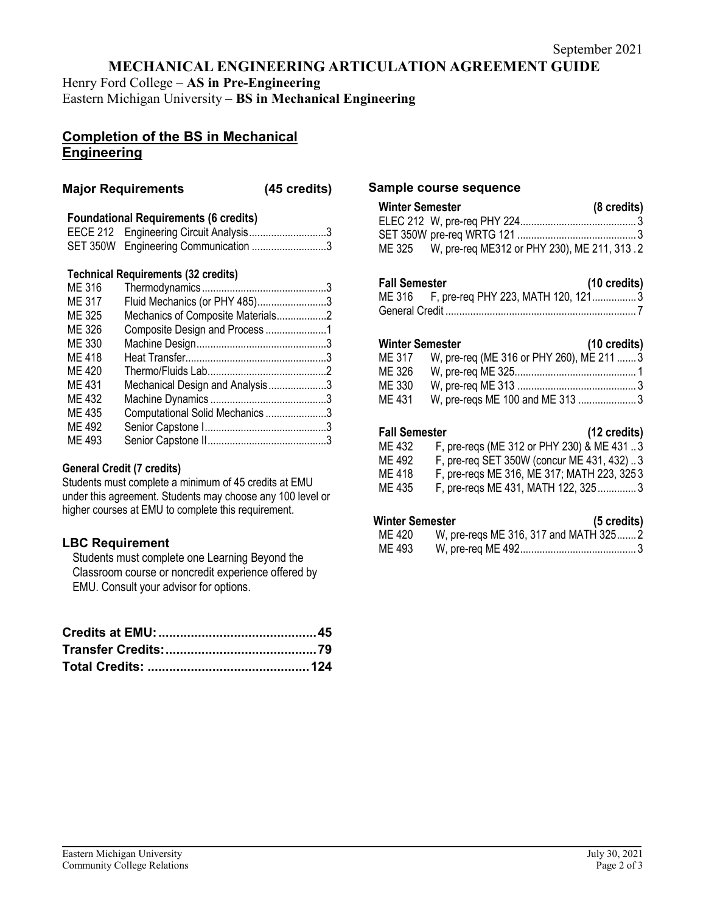# **MECHANICAL ENGINEERING ARTICULATION AGREEMENT GUIDE**

Henry Ford College – **AS in Pre-Engineering**

Eastern Michigan University – **BS in Mechanical Engineering**

# **Completion of the BS in Mechanical Engineering**

### **Major Requirements (45 credits)**

### **Foundational Requirements (6 credits)**

| EECE 212 Engineering Circuit Analysis3 |  |
|----------------------------------------|--|
| SET 350W Engineering Communication 3   |  |

## **Technical Requirements (32 credits)**

| ME 316 |                                   |  |
|--------|-----------------------------------|--|
| ME 317 | Fluid Mechanics (or PHY 485)3     |  |
| ME 325 | Mechanics of Composite Materials2 |  |
| ME 326 |                                   |  |
| ME 330 |                                   |  |
| ME 418 |                                   |  |
| ME 420 |                                   |  |
| ME 431 | Mechanical Design and Analysis3   |  |
| ME 432 |                                   |  |
| ME 435 | Computational Solid Mechanics 3   |  |
| ME 492 |                                   |  |
| ME 493 |                                   |  |
|        |                                   |  |

#### **General Credit (7 credits)**

Students must complete a minimum of 45 credits at EMU under this agreement. Students may choose any 100 level or higher courses at EMU to complete this requirement.

## **LBC Requirement**

Students must complete one Learning Beyond the Classroom course or noncredit experience offered by EMU. Consult your advisor for options.

### **Sample course sequence**

| Winter Semester |                                                    | $(8 \text{ credits})$ |
|-----------------|----------------------------------------------------|-----------------------|
|                 |                                                    |                       |
|                 |                                                    |                       |
|                 | ME 325 W, pre-req ME312 or PHY 230), ME 211, 313.2 |                       |
|                 |                                                    |                       |
|                 |                                                    |                       |

| <b>Fall Semester</b> |                                           | $(10 \text{ credits})$ |
|----------------------|-------------------------------------------|------------------------|
|                      | ME 316 F, pre-req PHY 223, MATH 120, 1213 |                        |
|                      |                                           |                        |

#### **Winter Semester (10 credits)**

| ME 317 | W, pre-req (ME 316 or PHY 260), ME 211  3 |  |
|--------|-------------------------------------------|--|
| ME 326 |                                           |  |
| ME 330 |                                           |  |
| ME 431 | W, pre-regs ME 100 and ME 313 3           |  |

## **Fall Semester (12 credits)**

| . an Junivulu |                                            |
|---------------|--------------------------------------------|
| ME 432        | F, pre-reqs (ME 312 or PHY 230) & ME 431 3 |
| ME 492        | F, pre-reg SET 350W (concur ME 431, 432)3  |
| ME 418        | F, pre-regs ME 316, ME 317; MATH 223, 3253 |
| ME 435        | F, pre-reqs ME 431, MATH 122, 3253         |
|               |                                            |

# **Winter Semester (5 credits)**

| ,,,,,,,,,,,,,,,,,,, |                                       | $\sim$ $\sim$ $\sim$ $\sim$ $\sim$ $\sim$ $\sim$ |
|---------------------|---------------------------------------|--------------------------------------------------|
| ME 420              | W, pre-regs ME 316, 317 and MATH 3252 |                                                  |
| ME 493              |                                       |                                                  |